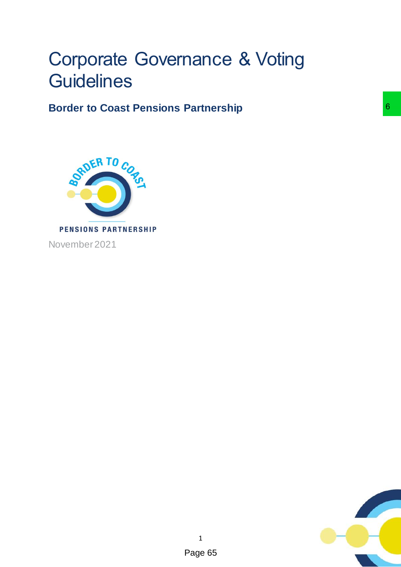# Corporate Governance & Voting **Guidelines**

**Border to Coast Pensions Partnership**



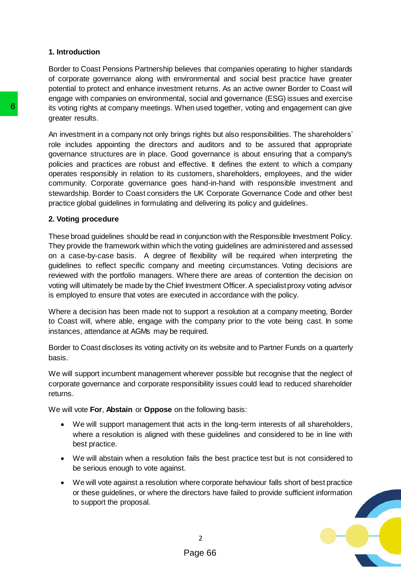## **1. Introduction**

Border to Coast Pensions Partnership believes that companies operating to higher standards of corporate governance along with environmental and social best practice have greater potential to protect and enhance investment returns. As an active owner Border to Coast will engage with companies on environmental, social and governance (ESG) issues and exercise its voting rights at company meetings. When used together, voting and engagement can give greater results.

An investment in a company not only brings rights but also responsibilities. The shareholders' role includes appointing the directors and auditors and to be assured that appropriate governance structures are in place. Good governance is about ensuring that a company's policies and practices are robust and effective. It defines the extent to which a company operates responsibly in relation to its customers, shareholders, employees, and the wider community. Corporate governance goes hand-in-hand with responsible investment and stewardship. Border to Coast considers the UK Corporate Governance Code and other best practice global guidelines in formulating and delivering its policy and guidelines. **6** its voting rights at company meetings. When used t<br>
greater results.<br>
An investment in a company not only brings rights<br>
to le includes appointing the directors and audit<br>
governance stuctures are in place. Good govern

## **2. Voting procedure**

These broad guidelines should be read in conjunction with the Responsible Investment Policy. They provide the framework within which the voting guidelines are administered and assessed on a case-by-case basis. A degree of flexibility will be required when interpreting the guidelines to reflect specific company and meeting circumstances. Voting decisions are reviewed with the portfolio managers. Where there are areas of contention the decision on voting will ultimately be made by the Chief Investment Officer. A specialist proxy voting advisor is employed to ensure that votes are executed in accordance with the policy.

Where a decision has been made not to support a resolution at a company meeting, Border to Coast will, where able, engage with the company prior to the vote being cast. In some instances, attendance at AGMs may be required.

Border to Coast discloses its voting activity on its website and to Partner Funds on a quarterly basis.

We will support incumbent management wherever possible but recognise that the neglect of corporate governance and corporate responsibility issues could lead to reduced shareholder returns.

We will vote **For**, **Abstain** or **Oppose** on the following basis:

- We will support management that acts in the long-term interests of all shareholders, where a resolution is aligned with these guidelines and considered to be in line with best practice.
- We will abstain when a resolution fails the best practice test but is not considered to be serious enough to vote against.
- We will vote against a resolution where corporate behaviour falls short of best practice or these guidelines, or where the directors have failed to provide sufficient information to support the proposal.

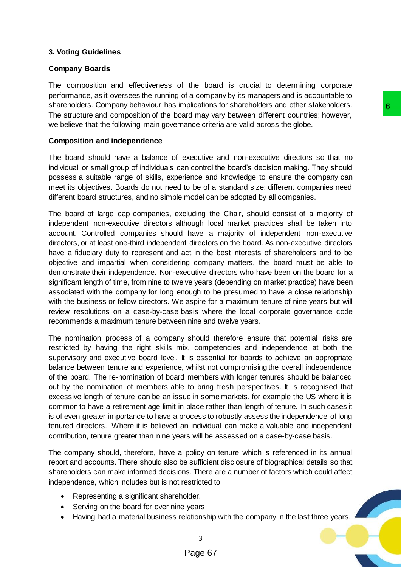# **3. Voting Guidelines**

# **Company Boards**

The composition and effectiveness of the board is crucial to determining corporate performance, as it oversees the running of a company by its managers and is accountable to shareholders. Company behaviour has implications for shareholders and other stakeholders. The structure and composition of the board may vary between different countries; however, we believe that the following main governance criteria are valid across the globe.

# **Composition and independence**

The board should have a balance of executive and non-executive directors so that no individual or small group of individuals can control the board's decision making. They should possess a suitable range of skills, experience and knowledge to ensure the company can meet its objectives. Boards do not need to be of a standard size: different companies need different board structures, and no simple model can be adopted by all companies.

The board of large cap companies, excluding the Chair, should consist of a majority of independent non-executive directors although local market practices shall be taken into account. Controlled companies should have a majority of independent non-executive directors, or at least one-third independent directors on the board. As non-executive directors have a fiduciary duty to represent and act in the best interests of shareholders and to be objective and impartial when considering company matters, the board must be able to demonstrate their independence. Non-executive directors who have been on the board for a significant length of time, from nine to twelve years (depending on market practice) have been associated with the company for long enough to be presumed to have a close relationship with the business or fellow directors. We aspire for a maximum tenure of nine years but will review resolutions on a case-by-case basis where the local corporate governance code recommends a maximum tenure between nine and twelve years. placetions for snarenoless and omer statenoless and the comparations and the comparations of small carry with the book of station making. They should here or cantrol the book of station making. They should nice and knowled

The nomination process of a company should therefore ensure that potential risks are restricted by having the right skills mix, competencies and independence at both the supervisory and executive board level. It is essential for boards to achieve an appropriate balance between tenure and experience, whilst not compromising the overall independence of the board. The re-nomination of board members with longer tenures should be balanced out by the nomination of members able to bring fresh perspectives. It is recognised that excessive length of tenure can be an issue in some markets, for example the US where it is common to have a retirement age limit in place rather than length of tenure. In such cases it is of even greater importance to have a process to robustly assess the independence of long tenured directors. Where it is believed an individual can make a valuable and independent contribution, tenure greater than nine years will be assessed on a case-by-case basis.

The company should, therefore, have a policy on tenure which is referenced in its annual report and accounts. There should also be sufficient disclosure of biographical details so that shareholders can make informed decisions. There are a number of factors which could affect independence, which includes but is not restricted to:

- Representing a significant shareholder.
- Serving on the board for over nine years.
- $\bullet$  Having had a material business relationship with the company in the last three years.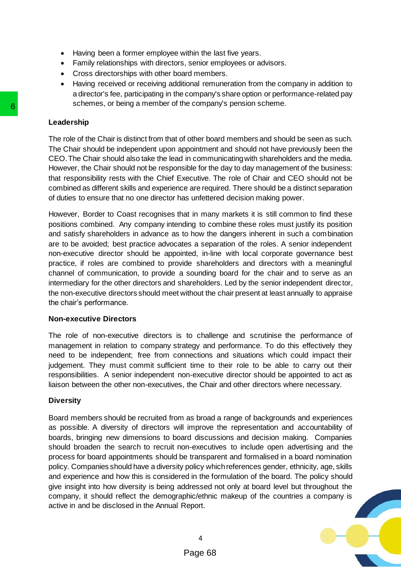- Having been a former employee within the last five years.
- Family relationships with directors, senior employees or advisors.
- Cross directorships with other board members.
- Having received or receiving additional remuneration from the company in addition to a director's fee, participating in the company's share option or performance-related pay schemes, or being a member of the company's pension scheme.

### **Leadership**

The role of the Chair is distinct from that of other board members and should be seen as such. The Chair should be independent upon appointment and should not have previously been the CEO. The Chair should also take the lead in communicating with shareholders and the media. However, the Chair should not be responsible for the day to day management of the business: that responsibility rests with the Chief Executive. The role of Chair and CEO should not be combined as different skills and experience are required. There should be a distinct separation of duties to ensure that no one director has unfettered decision making power.

However, Border to Coast recognises that in many markets it is still common to find these positions combined. Any company intending to combine these roles must justify its position and satisfy shareholders in advance as to how the dangers inherent in such a combination are to be avoided; best practice advocates a separation of the roles. A senior independent non-executive director should be appointed, in-line with local corporate governance best practice, if roles are combined to provide shareholders and directors with a meaningful channel of communication, to provide a sounding board for the chair and to serve as an intermediary for the other directors and shareholders. Led by the senior independent director, the non-executive directors should meet without the chair present at least annually to appraise the chair's performance. **Consumers**, for being a member of the comparities.<br>
The Chair fish chair is distinct from that of other box<br>
The Chair should be independent upon appointment CEO. The Chair should be independent upon appointment<br>
However,

#### **Non-executive Directors**

The role of non-executive directors is to challenge and scrutinise the performance of management in relation to company strategy and performance. To do this effectively they need to be independent; free from connections and situations which could impact their judgement. They must commit sufficient time to their role to be able to carry out their responsibilities. A senior independent non-executive director should be appointed to act as liaison between the other non-executives, the Chair and other directors where necessary.

#### **Diversity**

Board members should be recruited from as broad a range of backgrounds and experiences as possible. A diversity of directors will improve the representation and accountability of boards, bringing new dimensions to board discussions and decision making. Companies should broaden the search to recruit non-executives to include open advertising and the process for board appointments should be transparent and formalised in a board nomination policy. Companies should have a diversity policy which references gender, ethnicity, age, skills and experience and how this is considered in the formulation of the board. The policy should give insight into how diversity is being addressed not only at board level but throughout the company, it should reflect the demographic/ethnic makeup of the countries a company is active in and be disclosed in the Annual Report.

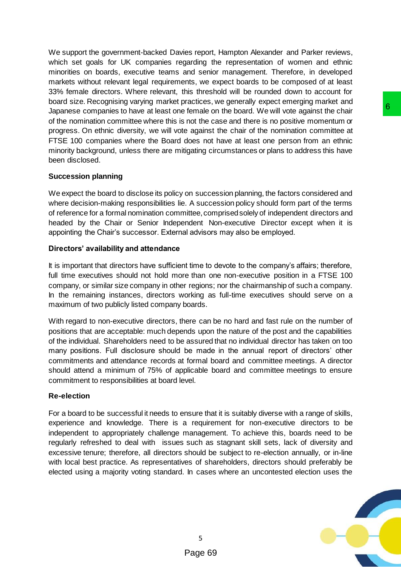We support the government-backed Davies report, Hampton Alexander and Parker reviews, which set goals for UK companies regarding the representation of women and ethnic minorities on boards, executive teams and senior management. Therefore, in developed markets without relevant legal requirements, we expect boards to be composed of at least 33% female directors. Where relevant, this threshold will be rounded down to account for board size. Recognising varying market practices, we generally expect emerging market and Japanese companies to have at least one female on the board. We will vote against the chair of the nomination committee where this is not the case and there is no positive momentum or progress. On ethnic diversity, we will vote against the chair of the nomination committee at FTSE 100 companies where the Board does not have at least one person from an ethnic minority background, unless there are mitigating circumstances or plans to address this have been disclosed.

## **Succession planning**

We expect the board to disclose its policy on succession planning, the factors considered and where decision-making responsibilities lie. A succession policy should form part of the terms of reference for a formal nomination committee, comprised solely of independent directors and headed by the Chair or Senior Independent Non-executive Director except when it is appointing the Chair's successor. External advisors may also be employed.

# **Directors' availability and attendance**

It is important that directors have sufficient time to devote to the company's affairs; therefore, full time executives should not hold more than one non-executive position in a FTSE 100 company, or similar size company in other regions; nor the chairmanship of such a company. In the remaining instances, directors working as full-time executives should serve on a maximum of two publicly listed company boards.

With regard to non-executive directors, there can be no hard and fast rule on the number of positions that are acceptable: much depends upon the nature of the post and the capabilities of the individual. Shareholders need to be assured that no individual director has taken on too many positions. Full disclosure should be made in the annual report of directors' other commitments and attendance records at formal board and committee meetings. A director should attend a minimum of 75% of applicable board and committee meetings to ensure commitment to responsibilities at board level. female on the baard. We will vote against the chair<br>female on the board. We will vote against the chair<br>of the case and there is no positive momentum or<br>a gainst the chair of the nomination committee at<br>does not have at le

# **Re-election**

For a board to be successful it needs to ensure that it is suitably diverse with a range of skills, experience and knowledge. There is a requirement for non-executive directors to be independent to appropriately challenge management. To achieve this, boards need to be regularly refreshed to deal with issues such as stagnant skill sets, lack of diversity and excessive tenure; therefore, all directors should be subject to re-election annually, or in-line with local best practice. As representatives of shareholders, directors should preferably be elected using a majority voting standard. In cases where an uncontested election uses the

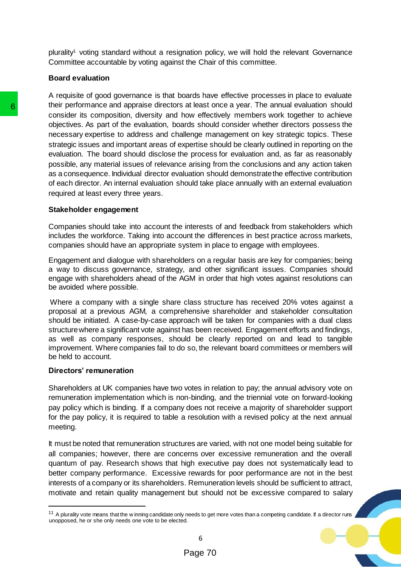plurality<sup>1</sup> voting standard without a resignation policy, we will hold the relevant Governance Committee accountable by voting against the Chair of this committee.

#### **Board evaluation**

A requisite of good governance is that boards have effective processes in place to evaluate their performance and appraise directors at least once a year. The annual evaluation should consider its composition, diversity and how effectively members work together to achieve objectives. As part of the evaluation, boards should consider whether directors possess the necessary expertise to address and challenge management on key strategic topics. These strategic issues and important areas of expertise should be clearly outlined in reporting on the evaluation. The board should disclose the process for evaluation and, as far as reasonably possible, any material issues of relevance arising from the conclusions and any action taken as a consequence. Individual director evaluation should demonstrate the effective contribution of each director. An internal evaluation should take place annually with an external evaluation required at least every three years. **The promonence and approace directors at least of the exacts and consider is composition, diversity and how effect<br>objectives. As part of the evaluation, boards should<br>necessary expertise to adders and challenge ma<br>strate** 

## **Stakeholder engagement**

Companies should take into account the interests of and feedback from stakeholders which includes the workforce. Taking into account the differences in best practice across markets, companies should have an appropriate system in place to engage with employees.

Engagement and dialogue with shareholders on a regular basis are key for companies; being a way to discuss governance, strategy, and other significant issues. Companies should engage with shareholders ahead of the AGM in order that high votes against resolutions can be avoided where possible.

Where a company with a single share class structure has received 20% votes against a proposal at a previous AGM, a comprehensive shareholder and stakeholder consultation should be initiated. A case-by-case approach will be taken for companies with a dual class structure where a significant vote against has been received. Engagement efforts and findings, as well as company responses, should be clearly reported on and lead to tangible improvement. Where companies fail to do so, the relevant board committees or members will be held to account.

#### **Directors' remuneration**

 $\overline{a}$ 

Shareholders at UK companies have two votes in relation to pay; the annual advisory vote on remuneration implementation which is non-binding, and the triennial vote on forward-looking pay policy which is binding. If a company does not receive a majority of shareholder support for the pay policy, it is required to table a resolution with a revised policy at the next annual meeting.

It must be noted that remuneration structures are varied, with not one model being suitable for all companies; however, there are concerns over excessive remuneration and the overall quantum of pay. Research shows that high executive pay does not systematically lead to better company performance. Excessive rewards for poor performance are not in the best interests of a company or its shareholders. Remuneration levels should be sufficient to attract, motivate and retain quality management but should not be excessive compared to salary

6

<sup>&</sup>lt;sup>11</sup> A plurality vote means that the w inning candidate only needs to get more votes than a competing candidate. If a director runs unopposed, he or she only needs one vote to be elected.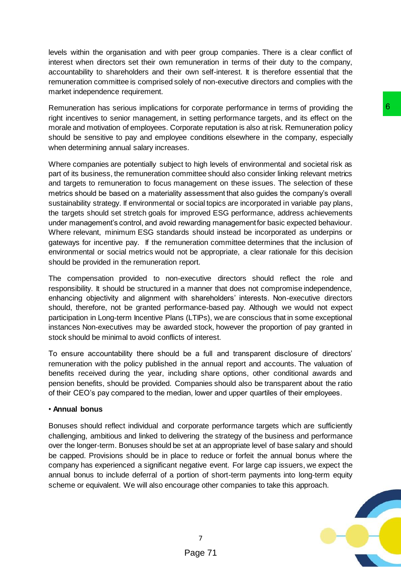levels within the organisation and with peer group companies. There is a clear conflict of interest when directors set their own remuneration in terms of their duty to the company, accountability to shareholders and their own self-interest. It is therefore essential that the remuneration committee is comprised solely of non-executive directors and complies with the market independence requirement.

Remuneration has serious implications for corporate performance in terms of providing the right incentives to senior management, in setting performance targets, and its effect on the morale and motivation of employees. Corporate reputation is also at risk. Remuneration policy should be sensitive to pay and employee conditions elsewhere in the company, especially when determining annual salary increases.

Where companies are potentially subject to high levels of environmental and societal risk as part of its business, the remuneration committee should also consider linking relevant metrics and targets to remuneration to focus management on these issues. The selection of these metrics should be based on a materiality assessment that also guides the company's overall sustainability strategy. If environmental or social topics are incorporated in variable pay plans, the targets should set stretch goals for improved ESG performance, address achievements under management's control, and avoid rewarding management for basic expected behaviour. Where relevant, minimum ESG standards should instead be incorporated as underpins or gateways for incentive pay. If the remuneration committee determines that the inclusion of environmental or social metrics would not be appropriate, a clear rationale for this decision should be provided in the remuneration report. or corporate performance in terms of providing the<br>signing performance argests, and its effect on the social exploration is also at risk. Remuneration policy<br>socialize reputation is also at risk. Remuneration policy<br>s...<br>t

The compensation provided to non-executive directors should reflect the role and responsibility. It should be structured in a manner that does not compromise independence, enhancing objectivity and alignment with shareholders' interests. Non-executive directors should, therefore, not be granted performance-based pay. Although we would not expect participation in Long-term Incentive Plans (LTIPs), we are conscious that in some exceptional instances Non-executives may be awarded stock, however the proportion of pay granted in stock should be minimal to avoid conflicts of interest.

To ensure accountability there should be a full and transparent disclosure of directors' remuneration with the policy published in the annual report and accounts. The valuation of benefits received during the year, including share options, other conditional awards and pension benefits, should be provided. Companies should also be transparent about the ratio of their CEO's pay compared to the median, lower and upper quartiles of their employees.

## • **Annual bonus**

Bonuses should reflect individual and corporate performance targets which are sufficiently challenging, ambitious and linked to delivering the strategy of the business and performance over the longer-term. Bonuses should be set at an appropriate level of base salary and should be capped. Provisions should be in place to reduce or forfeit the annual bonus where the company has experienced a significant negative event. For large cap issuers, we expect the annual bonus to include deferral of a portion of short-term payments into long-term equity scheme or equivalent. We will also encourage other companies to take this approach.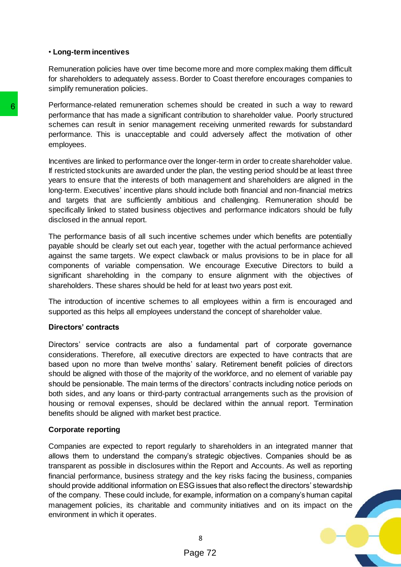## • **Long-term incentives**

Remuneration policies have over time become more and more complex making them difficult for shareholders to adequately assess. Border to Coast therefore encourages companies to simplify remuneration policies.

Performance-related remuneration schemes should be created in such a way to reward performance that has made a significant contribution to shareholder value. Poorly structured schemes can result in senior management receiving unmerited rewards for substandard performance. This is unacceptable and could adversely affect the motivation of other employees.

Incentives are linked to performance over the longer-term in order to create shareholder value. If restricted stock units are awarded under the plan, the vesting period should be at least three years to ensure that the interests of both management and shareholders are aligned in the long-term. Executives' incentive plans should include both financial and non-financial metrics and targets that are sufficiently ambitious and challenging. Remuneration should be specifically linked to stated business objectives and performance indicators should be fully disclosed in the annual report.

The performance basis of all such incentive schemes under which benefits are potentially payable should be clearly set out each year, together with the actual performance achieved against the same targets. We expect clawback or malus provisions to be in place for all components of variable compensation. We encourage Executive Directors to build a significant shareholding in the company to ensure alignment with the objectives of shareholders. These shares should be held for at least two years post exit.

The introduction of incentive schemes to all employees within a firm is encouraged and supported as this helps all employees understand the concept of shareholder value.

## **Directors' contracts**

Directors' service contracts are also a fundamental part of corporate governance considerations. Therefore, all executive directors are expected to have contracts that are based upon no more than twelve months' salary. Retirement benefit policies of directors should be aligned with those of the majority of the workforce, and no element of variable pay should be pensionable. The main terms of the directors' contracts including notice periods on both sides, and any loans or third-party contractual arrangements such as the provision of housing or removal expenses, should be declared within the annual report. Termination benefits should be aligned with market best practice.

#### **Corporate reporting**

Companies are expected to report regularly to shareholders in an integrated manner that allows them to understand the company's strategic objectives. Companies should be as transparent as possible in disclosures within the Report and Accounts. As well as reporting financial performance, business strategy and the key risks facing the business, companies should provide additional information on ESG issues that also reflect the directors' stewardship of the company. These could include, for example, information on a company's human capital management policies, its charitable and community initiatives and on its impact on the environment in which it operates. Performance-featate fremuneration schemes should<br>performance that has made a significant contributive<br>schemes can result in senior management receive<br>performance. This is unacceptable and could a<br>employees.<br>Incentives are

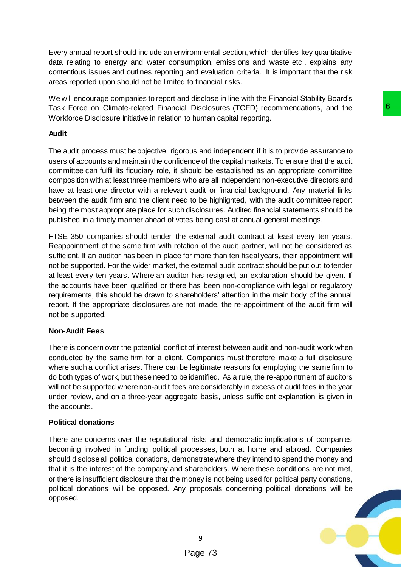Every annual report should include an environmental section, which identifies key quantitative data relating to energy and water consumption, emissions and waste etc., explains any contentious issues and outlines reporting and evaluation criteria. It is important that the risk areas reported upon should not be limited to financial risks.

We will encourage companies to report and disclose in line with the Financial Stability Board's Task Force on Climate-related Financial Disclosures (TCFD) recommendations, and the Workforce Disclosure Initiative in relation to human capital reporting.

# **Audit**

The audit process must be objective, rigorous and independent if it is to provide assurance to users of accounts and maintain the confidence of the capital markets. To ensure that the audit committee can fulfil its fiduciary role, it should be established as an appropriate committee composition with at least three members who are all independent non-executive directors and have at least one director with a relevant audit or financial background. Any material links between the audit firm and the client need to be highlighted, with the audit committee report being the most appropriate place for such disclosures. Audited financial statements should be published in a timely manner ahead of votes being cast at annual general meetings.

FTSE 350 companies should tender the external audit contract at least every ten years. Reappointment of the same firm with rotation of the audit partner, will not be considered as sufficient. If an auditor has been in place for more than ten fiscal years, their appointment will not be supported. For the wider market, the external audit contract should be put out to tender at least every ten years. Where an auditor has resigned, an explanation should be given. If the accounts have been qualified or there has been non-compliance with legal or regulatory requirements, this should be drawn to shareholders' attention in the main body of the annual report. If the appropriate disclosures are not made, the re-appointment of the audit firm will not be supported. I Disclosures (TCFD) recommendations, and the **16**<br>to human capital reporting.<br>to the man capital reporting.<br>The solution of the capital markets. To ensure that the audit<br>who are all independent in on-executive directors a

# **Non-Audit Fees**

There is concern over the potential conflict of interest between audit and non-audit work when conducted by the same firm for a client. Companies must therefore make a full disclosure where such a conflict arises. There can be legitimate reasons for employing the same firm to do both types of work, but these need to be identified. As a rule, the re-appointment of auditors will not be supported where non-audit fees are considerably in excess of audit fees in the year under review, and on a three-year aggregate basis, unless sufficient explanation is given in the accounts.

# **Political donations**

There are concerns over the reputational risks and democratic implications of companies becoming involved in funding political processes, both at home and abroad. Companies should disclose all political donations, demonstrate where they intend to spend the money and that it is the interest of the company and shareholders. Where these conditions are not met, or there is insufficient disclosure that the money is not being used for political party donations, political donations will be opposed. Any proposals concerning political donations will be opposed.

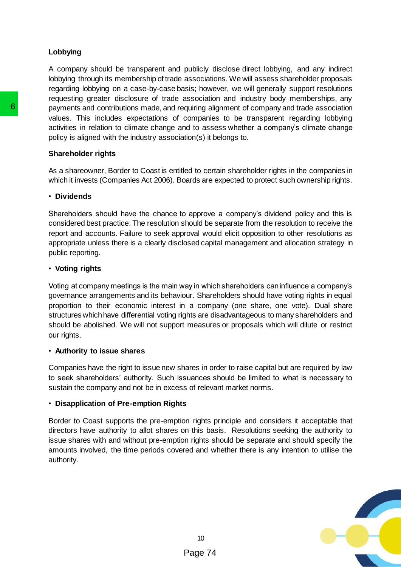# **Lobbying**

A company should be transparent and publicly disclose direct lobbying, and any indirect lobbying through its membership of trade associations. We will assess shareholder proposals regarding lobbying on a case-by-case basis; however, we will generally support resolutions requesting greater disclosure of trade association and industry body memberships, any payments and contributions made, and requiring alignment of company and trade association values. This includes expectations of companies to be transparent regarding lobbying activities in relation to climate change and to assess whether a company's climate change policy is aligned with the industry association(s) it belongs to.

## **Shareholder rights**

As a shareowner, Border to Coast is entitled to certain shareholder rights in the companies in which it invests (Companies Act 2006). Boards are expected to protect such ownership rights.

## • **Dividends**

Shareholders should have the chance to approve a company's dividend policy and this is considered best practice. The resolution should be separate from the resolution to receive the report and accounts. Failure to seek approval would elicit opposition to other resolutions as appropriate unless there is a clearly disclosed capital management and allocation strategy in public reporting.

## • **Voting rights**

Voting at company meetings is the main way in which shareholders can influence a company's governance arrangements and its behaviour. Shareholders should have voting rights in equal proportion to their economic interest in a company (one share, one vote). Dual share structures which have differential voting rights are disadvantageous to many shareholders and should be abolished. We will not support measures or proposals which will dilute or restrict our rights. **6**<br>
payments and contributions made, and requiring alia<br>
values. This includes expectations of companie<br>
activities in relation to climate change and to assemble y is aligned with the inclustry association(s) it b<br> **Share** 

## • **Authority to issue shares**

Companies have the right to issue new shares in order to raise capital but are required by law to seek shareholders' authority. Such issuances should be limited to what is necessary to sustain the company and not be in excess of relevant market norms.

## • **Disapplication of Pre-emption Rights**

Border to Coast supports the pre-emption rights principle and considers it acceptable that directors have authority to allot shares on this basis. Resolutions seeking the authority to issue shares with and without pre-emption rights should be separate and should specify the amounts involved, the time periods covered and whether there is any intention to utilise the authority.

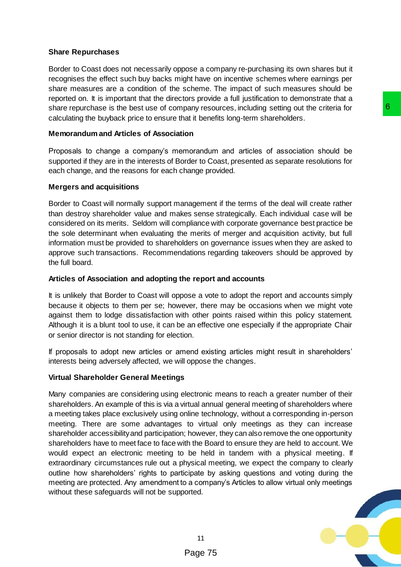# **Share Repurchases**

Border to Coast does not necessarily oppose a company re-purchasing its own shares but it recognises the effect such buy backs might have on incentive schemes where earnings per share measures are a condition of the scheme. The impact of such measures should be reported on. It is important that the directors provide a full justification to demonstrate that a share repurchase is the best use of company resources, including setting out the criteria for calculating the buyback price to ensure that it benefits long-term shareholders.

# **Memorandum and Articles of Association**

Proposals to change a company's memorandum and articles of association should be supported if they are in the interests of Border to Coast, presented as separate resolutions for each change, and the reasons for each change provided.

# **Mergers and acquisitions**

Border to Coast will normally support management if the terms of the deal will create rather than destroy shareholder value and makes sense strategically. Each individual case will be considered on its merits. Seldom will compliance with corporate governance best practice be the sole determinant when evaluating the merits of merger and acquisition activity, but full information must be provided to shareholders on governance issues when they are asked to approve such transactions. Recommendations regarding takeovers should be approved by the full board.

# **Articles of Association and adopting the report and accounts**

It is unlikely that Border to Coast will oppose a vote to adopt the report and accounts simply because it objects to them per se; however, there may be occasions when we might vote against them to lodge dissatisfaction with other points raised within this policy statement. Although it is a blunt tool to use, it can be an effective one especially if the appropriate Chair or senior director is not standing for election.

If proposals to adopt new articles or amend existing articles might result in shareholders' interests being adversely affected, we will oppose the changes.

# **Virtual Shareholder General Meetings**

Many companies are considering using electronic means to reach a greater number of their shareholders. An example of this is via a virtual annual general meeting of shareholders where a meeting takes place exclusively using online technology, without a corresponding in-person meeting. There are some advantages to virtual only meetings as they can increase shareholder accessibility and participation; however, they can also remove the one opportunity shareholders have to meet face to face with the Board to ensure they are held to account. We would expect an electronic meeting to be held in tandem with a physical meeting. If extraordinary circumstances rule out a physical meeting, we expect the company to clearly outline how shareholders' rights to participate by asking questions and voting during the meeting are protected. Any amendment to a company's Articles to allow virtual only meetings without these safeguards will not be supported. any resources, including setting out the criteria for<br>
act it benefits long-term shareholders.<br> **on**<br>
on<br>
commonardum and articles of association should be<br>
doted to Coast, presented as separate resolutions for<br>
magement i